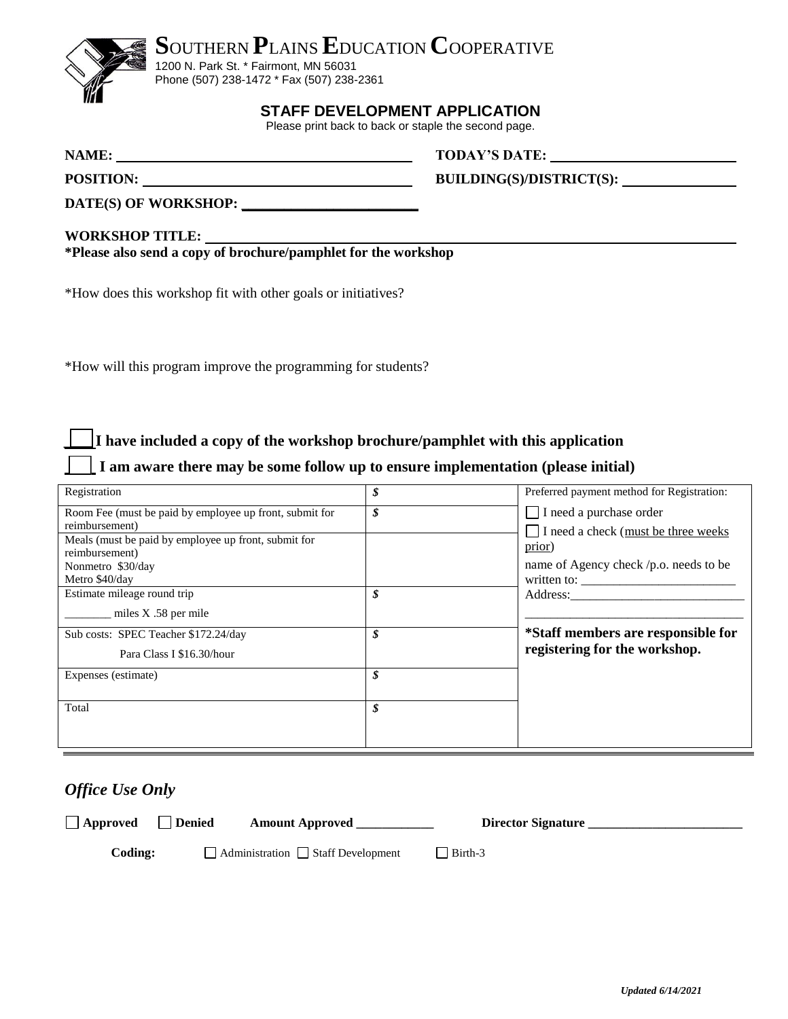



1200 N. Park St. \* Fairmont, MN 56031 Phone (507) 238-1472 \* Fax (507) 238-2361

### **STAFF DEVELOPMENT APPLICATION**

Please print back to back or staple the second page.

**NAME: TODAY'S DATE: TODAY'S DATE:** 

POSITION: **BUILDING(S)/DISTRICT(S):** 

**DATE(S) OF WORKSHOP: \_\_\_\_\_\_\_\_\_\_\_\_\_\_\_\_\_\_\_\_\_\_\_\_\_**

**WORKSHOP TITLE: \*Please also send a copy of brochure/pamphlet for the workshop**

\*How does this workshop fit with other goals or initiatives?

\*How will this program improve the programming for students?

*\_\_* **I have included a copy of the workshop brochure/pamphlet with this application** 

#### *\_\_\_\_* **I am aware there may be some follow up to ensure implementation (please initial)**

| Registration                                            | \$<br>Preferred payment method for Registration:    |
|---------------------------------------------------------|-----------------------------------------------------|
| Room Fee (must be paid by employee up front, submit for | \$<br>I need a purchase order                       |
| reimbursement)                                          | I need a check (must be three weeks                 |
| Meals (must be paid by employee up front, submit for    |                                                     |
| reimbursement)                                          | prior)                                              |
| Nonmetro \$30/day                                       | name of Agency check /p.o. needs to be              |
| Metro \$40/day                                          | written to: $\frac{\qquad \qquad }{\qquad \qquad }$ |
| Estimate mileage round trip                             | \$<br>Address:                                      |
| miles $X$ .58 per mile                                  |                                                     |
|                                                         |                                                     |
| Sub costs: SPEC Teacher \$172.24/day                    | \$<br>*Staff members are responsible for            |
| Para Class I \$16.30/hour                               | registering for the workshop.                       |
|                                                         |                                                     |
| Expenses (estimate)                                     | \$                                                  |
|                                                         |                                                     |
| Total                                                   | \$                                                  |
|                                                         |                                                     |
|                                                         |                                                     |
|                                                         |                                                     |

### *Office Use Only*

| $\Box$ Approved | Denied | <b>Amount Approved</b>                         |                   | Director Signature |  |
|-----------------|--------|------------------------------------------------|-------------------|--------------------|--|
| Coding:         |        | $\Box$ Administration $\Box$ Staff Development | $\exists$ Birth-3 |                    |  |